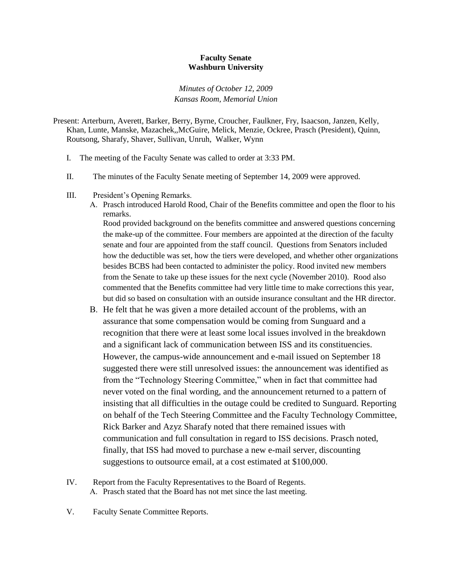## **Faculty Senate Washburn University**

*Minutes of October 12, 2009 Kansas Room, Memorial Union*

Present: Arterburn, Averett, Barker, Berry, Byrne, Croucher, Faulkner, Fry, Isaacson, Janzen, Kelly, Khan, Lunte, Manske, Mazachek,,McGuire, Melick, Menzie, Ockree, Prasch (President), Quinn, Routsong, Sharafy, Shaver, Sullivan, Unruh, Walker, Wynn

- I. The meeting of the Faculty Senate was called to order at 3:33 PM.
- II. The minutes of the Faculty Senate meeting of September 14, 2009 were approved.
- III. President's Opening Remarks.
	- A. Prasch introduced Harold Rood, Chair of the Benefits committee and open the floor to his remarks.

Rood provided background on the benefits committee and answered questions concerning the make-up of the committee. Four members are appointed at the direction of the faculty senate and four are appointed from the staff council. Questions from Senators included how the deductible was set, how the tiers were developed, and whether other organizations besides BCBS had been contacted to administer the policy. Rood invited new members from the Senate to take up these issues for the next cycle (November 2010). Rood also commented that the Benefits committee had very little time to make corrections this year, but did so based on consultation with an outside insurance consultant and the HR director.

- B. He felt that he was given a more detailed account of the problems, with an assurance that some compensation would be coming from Sunguard and a recognition that there were at least some local issues involved in the breakdown and a significant lack of communication between ISS and its constituencies. However, the campus-wide announcement and e-mail issued on September 18 suggested there were still unresolved issues: the announcement was identified as from the "Technology Steering Committee," when in fact that committee had never voted on the final wording, and the announcement returned to a pattern of insisting that all difficulties in the outage could be credited to Sunguard. Reporting on behalf of the Tech Steering Committee and the Faculty Technology Committee, Rick Barker and Azyz Sharafy noted that there remained issues with communication and full consultation in regard to ISS decisions. Prasch noted, finally, that ISS had moved to purchase a new e-mail server, discounting suggestions to outsource email, at a cost estimated at \$100,000.
- IV. Report from the Faculty Representatives to the Board of Regents. A. Prasch stated that the Board has not met since the last meeting.
- V. Faculty Senate Committee Reports.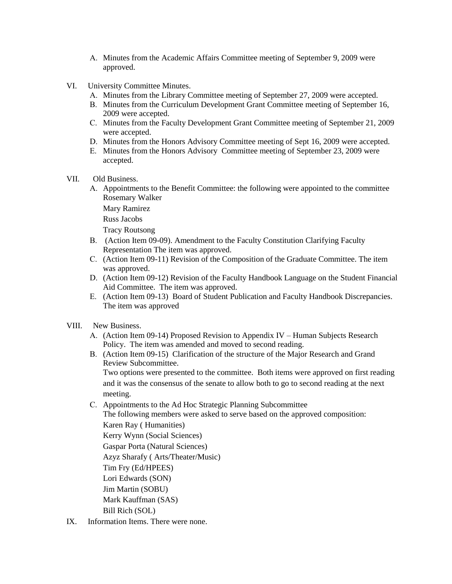- A. Minutes from the Academic Affairs Committee meeting of September 9, 2009 were approved.
- VI. University Committee Minutes.
	- A. Minutes from the Library Committee meeting of September 27, 2009 were accepted.
	- B. Minutes from the Curriculum Development Grant Committee meeting of September 16, 2009 were accepted.
	- C. Minutes from the Faculty Development Grant Committee meeting of September 21, 2009 were accepted.
	- D. Minutes from the Honors Advisory Committee meeting of Sept 16, 2009 were accepted.
	- E. Minutes from the Honors Advisory Committee meeting of September 23, 2009 were accepted.
- VII. Old Business.
	- A. Appointments to the Benefit Committee: the following were appointed to the committee Rosemary Walker
		- Mary Ramirez
		- Russ Jacobs
		- Tracy Routsong
	- B. (Action Item 09-09). Amendment to the Faculty Constitution Clarifying Faculty Representation The item was approved.
	- C. (Action Item 09-11) Revision of the Composition of the Graduate Committee. The item was approved.
	- D. (Action Item 09-12) Revision of the Faculty Handbook Language on the Student Financial Aid Committee. The item was approved.
	- E. (Action Item 09-13) Board of Student Publication and Faculty Handbook Discrepancies. The item was approved
- VIII. New Business.
	- A. (Action Item 09-14) Proposed Revision to Appendix IV Human Subjects Research Policy. The item was amended and moved to second reading.
	- B. (Action Item 09-15) Clarification of the structure of the Major Research and Grand Review Subcommittee.

Two options were presented to the committee. Both items were approved on first reading and it was the consensus of the senate to allow both to go to second reading at the next meeting.

C. Appointments to the Ad Hoc Strategic Planning Subcommittee The following members were asked to serve based on the approved composition: Karen Ray ( Humanities) Kerry Wynn (Social Sciences) Gaspar Porta (Natural Sciences) Azyz Sharafy ( Arts/Theater/Music) Tim Fry (Ed/HPEES)

Lori Edwards (SON) Jim Martin (SOBU) Mark Kauffman (SAS)

- Bill Rich (SOL)
- IX. Information Items. There were none.